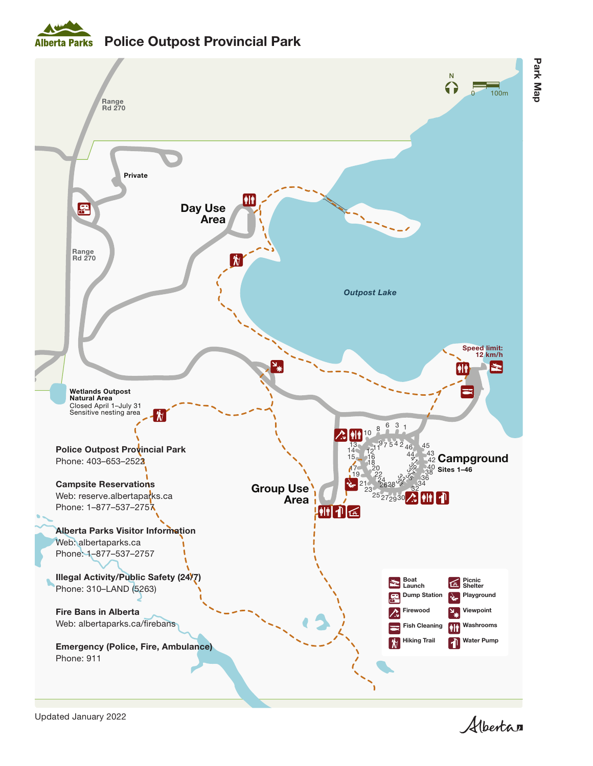## Alberta Parks Police Outpost Provincial Park



Albertan